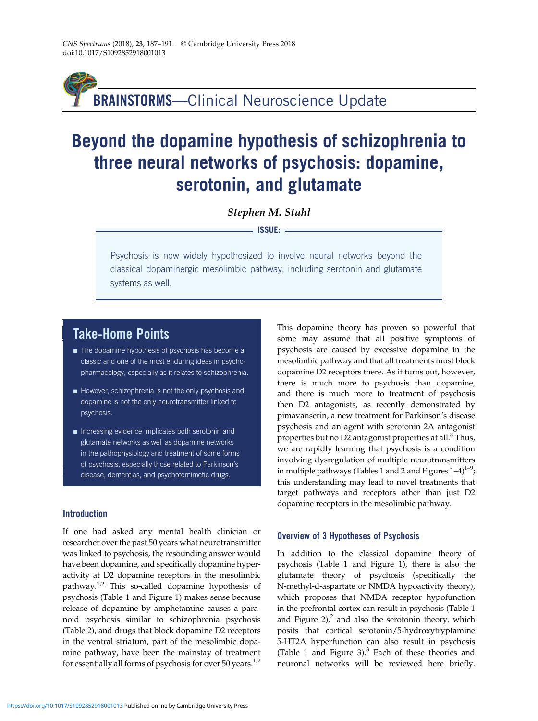BRAINSTORMS—Clinical Neuroscience Update

# Beyond the dopamine hypothesis of schizophrenia to three neural networks of psychosis: dopamine, serotonin, and glutamate

Stephen M. Stahl

- ISSUE: -

Psychosis is now widely hypothesized to involve neural networks beyond the classical dopaminergic mesolimbic pathway, including serotonin and glutamate systems as well.

# Take-Home Points

- $\blacksquare$  The dopamine hypothesis of psychosis has become a classic and one of the most enduring ideas in psychopharmacology, especially as it relates to schizophrenia.
- However, schizophrenia is not the only psychosis and dopamine is not the only neurotransmitter linked to psychosis.
- ' Increasing evidence implicates both serotonin and glutamate networks as well as dopamine networks in the pathophysiology and treatment of some forms of psychosis, especially those related to Parkinson's disease, dementias, and psychotomimetic drugs.

### **Introduction**

If one had asked any mental health clinician or researcher over the past 50 years what neurotransmitter was linked to psychosis, the resounding answer would have been dopamine, and specifically dopamine hyperactivity at D2 dopamine receptors in the mesolimbic pathway.<sup>[1,2](#page-4-0)</sup> This so-called dopamine hypothesis of psychosis ([Table 1](#page-1-0) and [Figure 1\)](#page-1-0) makes sense because release of dopamine by amphetamine causes a paranoid psychosis similar to schizophrenia psychosis [\(Table 2\)](#page-2-0), and drugs that block dopamine D2 receptors in the ventral striatum, part of the mesolimbic dopamine pathway, have been the mainstay of treatment for essentially all forms of psychosis for over 50 years.<sup>[1,2](#page-4-0)</sup>

This dopamine theory has proven so powerful that some may assume that all positive symptoms of psychosis are caused by excessive dopamine in the mesolimbic pathway and that all treatments must block dopamine D2 receptors there. As it turns out, however, there is much more to psychosis than dopamine, and there is much more to treatment of psychosis then D2 antagonists, as recently demonstrated by pimavanserin, a new treatment for Parkinson's disease psychosis and an agent with serotonin 2A antagonist properties but no D2 antagonist properties at all.<sup>3</sup> Thus, we are rapidly learning that psychosis is a condition involving dysregulation of multiple neurotransmitters in multiple pathways ([Tables 1](#page-1-0) and [2](#page-2-0) and Figures  $1-4$  $1-4$ ) $^{1-9}$  $^{1-9}$  $^{1-9}$  $^{1-9}$  $^{1-9}$ ; this understanding may lead to novel treatments that target pathways and receptors other than just D2 dopamine receptors in the mesolimbic pathway.

### Overview of 3 Hypotheses of Psychosis

In addition to the classical dopamine theory of psychosis [\(Table 1](#page-1-0) and [Figure 1\)](#page-1-0), there is also the glutamate theory of psychosis (specifically the N-methyl-d-aspartate or NMDA hypoactivity theory), which proposes that NMDA receptor hypofunction in the prefrontal cortex can result in psychosis [\(Table 1](#page-1-0) and Figure  $2$ ),<sup>2</sup> and also the serotonin theory, which posits that cortical serotonin/5-hydroxytryptamine 5-HT2A hyperfunction can also result in psychosis [\(Table 1](#page-1-0) and [Figure 3\)](#page-2-0). $3$  Each of these theories and neuronal networks will be reviewed here briefly.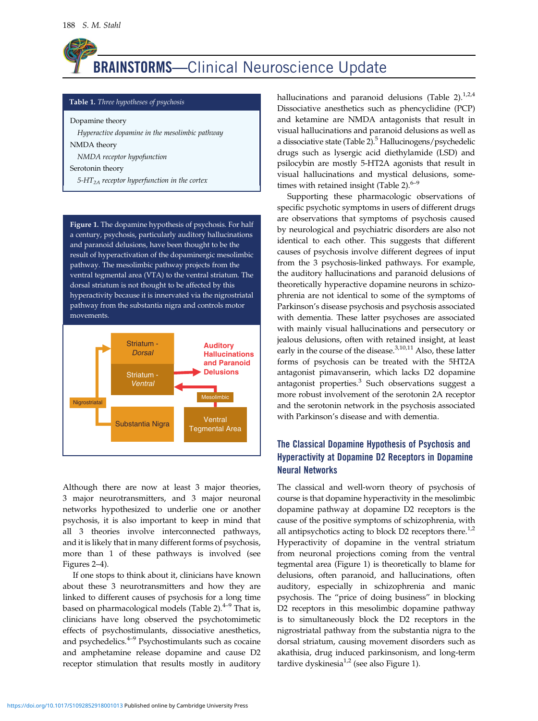<span id="page-1-0"></span>

#### Table 1. Three hypotheses of psychosis

Dopamine theory

Hyperactive dopamine in the mesolimbic pathway NMDA theory NMDA receptor hypofunction Serotonin theory

 $5-HT<sub>2A</sub>$  receptor hyperfunction in the cortex

Figure 1. The dopamine hypothesis of psychosis. For half a century, psychosis, particularly auditory hallucinations and paranoid delusions, have been thought to be the result of hyperactivation of the dopaminergic mesolimbic pathway. The mesolimbic pathway projects from the ventral tegmental area (VTA) to the ventral striatum. The dorsal striatum is not thought to be affected by this hyperactivity because it is innervated via the nigrostriatal pathway from the substantia nigra and controls motor movements.



Although there are now at least 3 major theories, 3 major neurotransmitters, and 3 major neuronal networks hypothesized to underlie one or another psychosis, it is also important to keep in mind that all 3 theories involve interconnected pathways, and it is likely that in many different forms of psychosis, more than 1 of these pathways is involved (see [Figures 2](#page-2-0)–4).

If one stops to think about it, clinicians have known about these 3 neurotransmitters and how they are linked to different causes of psychosis for a long time based on pharmacological models ([Table 2\)](#page-2-0). $4-9$  $4-9$  $4-9$  That is, clinicians have long observed the psychotomimetic effects of psychostimulants, dissociative anesthetics, and psychedelics.<sup>[4](#page-4-0)–[9](#page-4-0)</sup> Psychostimulants such as cocaine and amphetamine release dopamine and cause D2 receptor stimulation that results mostly in auditory hallucinations and paranoid delusions [\(Table 2\)](#page-2-0). $^{1,2,4}$  $^{1,2,4}$  $^{1,2,4}$ Dissociative anesthetics such as phencyclidine (PCP) and ketamine are NMDA antagonists that result in visual hallucinations and paranoid delusions as well as a dissociative state ([Table 2\)](#page-2-0).<sup>[5](#page-4-0)</sup> Hallucinogens/psychedelic drugs such as lysergic acid diethylamide (LSD) and psilocybin are mostly 5-HT2A agonists that result in visual hallucinations and mystical delusions, some-times with retained insight [\(Table 2\)](#page-2-0). $6-9$  $6-9$  $6-9$ 

Supporting these pharmacologic observations of specific psychotic symptoms in users of different drugs are observations that symptoms of psychosis caused by neurological and psychiatric disorders are also not identical to each other. This suggests that different causes of psychosis involve different degrees of input from the 3 psychosis-linked pathways. For example, the auditory hallucinations and paranoid delusions of theoretically hyperactive dopamine neurons in schizophrenia are not identical to some of the symptoms of Parkinson's disease psychosis and psychosis associated with dementia. These latter psychoses are associated with mainly visual hallucinations and persecutory or jealous delusions, often with retained insight, at least early in the course of the disease. $^{3,10,11}$  $^{3,10,11}$  $^{3,10,11}$  $^{3,10,11}$  $^{3,10,11}$  Also, these latter forms of psychosis can be treated with the 5HT2A antagonist pimavanserin, which lacks D2 dopamine antagonist properties.<sup>[3](#page-4-0)</sup> Such observations suggest a more robust involvement of the serotonin 2A receptor and the serotonin network in the psychosis associated with Parkinson's disease and with dementia.

### The Classical Dopamine Hypothesis of Psychosis and Hyperactivity at Dopamine D2 Receptors in Dopamine Neural Networks

The classical and well-worn theory of psychosis of course is that dopamine hyperactivity in the mesolimbic dopamine pathway at dopamine D2 receptors is the cause of the positive symptoms of schizophrenia, with all antipsychotics acting to block  $D2$  receptors there.<sup>[1,2](#page-4-0)</sup> Hyperactivity of dopamine in the ventral striatum from neuronal projections coming from the ventral tegmental area (Figure 1) is theoretically to blame for delusions, often paranoid, and hallucinations, often auditory, especially in schizophrenia and manic psychosis. The "price of doing business" in blocking D2 receptors in this mesolimbic dopamine pathway is to simultaneously block the D2 receptors in the nigrostriatal pathway from the substantia nigra to the dorsal striatum, causing movement disorders such as akathisia, drug induced parkinsonism, and long-term tardive dyskinesia $1,2$  (see also Figure 1).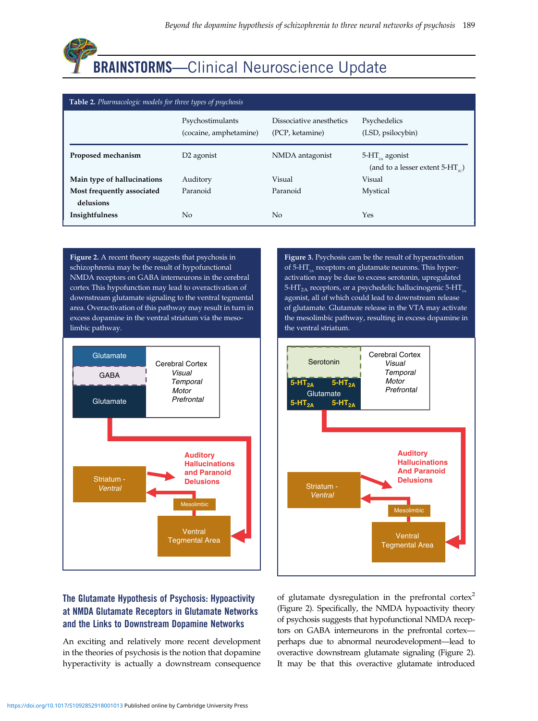<span id="page-2-0"></span>

| Table 2. Pharmacologic models for three types of psychosis |                                            |                                             |                                                                                      |
|------------------------------------------------------------|--------------------------------------------|---------------------------------------------|--------------------------------------------------------------------------------------|
|                                                            | Psychostimulants<br>(cocaine, amphetamine) | Dissociative anesthetics<br>(PCP, ketamine) | Psychedelics<br>(LSD, psilocybin)                                                    |
| Proposed mechanism                                         | D <sub>2</sub> agonist                     | NMDA antagonist                             | $5-HT_{24}$ agonist<br>(and to a lesser extent 5-HT <sub><math>\infty</math></sub> ) |
| Main type of hallucinations                                | Auditory                                   | Visual                                      | Visual                                                                               |
| Most frequently associated<br>delusions                    | Paranoid                                   | Paranoid                                    | Mystical                                                                             |
| Insightfulness                                             | No                                         | No                                          | Yes                                                                                  |

Figure 2. A recent theory suggests that psychosis in schizophrenia may be the result of hypofunctional NMDA receptors on GABA interneurons in the cerebral cortex This hypofunction may lead to overactivation of downstream glutamate signaling to the ventral tegmental area. Overactivation of this pathway may result in turn in excess dopamine in the ventral striatum via the mesolimbic pathway.



Figure 3. Psychosis cam be the result of hyperactivation of 5-HT<sub>2</sub> receptors on glutamate neurons. This hyperactivation may be due to excess serotonin, upregulated 5-HT<sub>2A</sub> receptors, or a psychedelic hallucinogenic 5-HT<sub> $_{24}$ </sub> agonist, all of which could lead to downstream release of glutamate. Glutamate release in the VTA may activate the mesolimbic pathway, resulting in excess dopamine in the ventral striatum.



# The Glutamate Hypothesis of Psychosis: Hypoactivity at NMDA Glutamate Receptors in Glutamate Networks and the Links to Downstream Dopamine Networks

An exciting and relatively more recent development in the theories of psychosis is the notion that dopamine hyperactivity is actually a downstream consequence of glutamate dysregulation in the prefrontal cortex<sup>[2](#page-4-0)</sup> (Figure 2). Specifically, the NMDA hypoactivity theory of psychosis suggests that hypofunctional NMDA receptors on GABA interneurons in the prefrontal cortex perhaps due to abnormal neurodevelopment—lead to overactive downstream glutamate signaling (Figure 2). It may be that this overactive glutamate introduced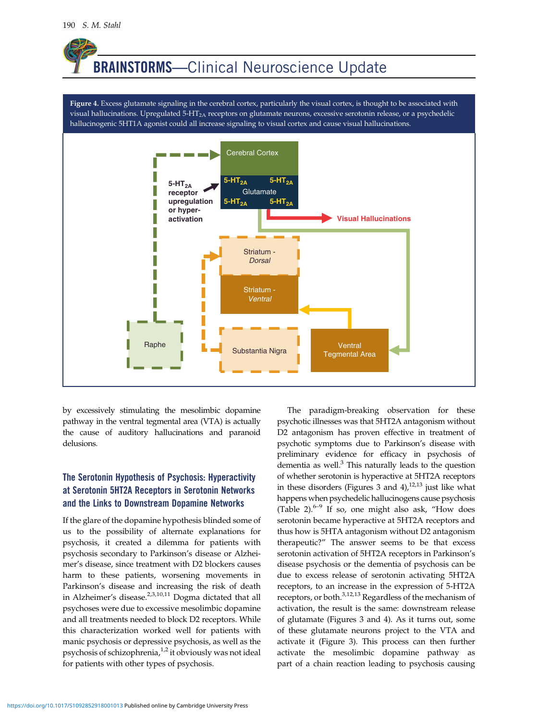# <span id="page-3-0"></span>BRAINSTORMS—Clinical Neuroscience Update

Figure 4. Excess glutamate signaling in the cerebral cortex, particularly the visual cortex, is thought to be associated with visual hallucinations. Upregulated 5-HT<sub>2A</sub> receptors on glutamate neurons, excessive serotonin release, or a psychedelic hallucinogenic 5HT1A agonist could all increase signaling to visual cortex and cause visual hallucinations.



by excessively stimulating the mesolimbic dopamine pathway in the ventral tegmental area (VTA) is actually the cause of auditory hallucinations and paranoid delusions.

## The Serotonin Hypothesis of Psychosis: Hyperactivity at Serotonin 5HT2A Receptors in Serotonin Networks and the Links to Downstream Dopamine Networks

If the glare of the dopamine hypothesis blinded some of us to the possibility of alternate explanations for psychosis, it created a dilemma for patients with psychosis secondary to Parkinson's disease or Alzheimer's disease, since treatment with D2 blockers causes harm to these patients, worsening movements in Parkinson's disease and increasing the risk of death in Alzheimer's disease. $2,3,10,11$  Dogma dictated that all psychoses were due to excessive mesolimbic dopamine and all treatments needed to block D2 receptors. While this characterization worked well for patients with manic psychosis or depressive psychosis, as well as the psychosis of schizophrenia,<sup>[1,2](#page-4-0)</sup> it obviously was not ideal for patients with other types of psychosis.

The paradigm-breaking observation for these psychotic illnesses was that 5HT2A antagonism without D2 antagonism has proven effective in treatment of psychotic symptoms due to Parkinson's disease with preliminary evidence for efficacy in psychosis of dementia as well. $3$  This naturally leads to the question of whether serotonin is hyperactive at 5HT2A receptors in these disorders [\(Figures 3](#page-2-0) and  $4$ ),<sup>[12](#page-4-0),[13](#page-4-0)</sup> just like what happens when psychedelic hallucinogens cause psychosis [\(Table 2](#page-2-0)). $6-9$  $6-9$  $6-9$  If so, one might also ask, "How does serotonin became hyperactive at 5HT2A receptors and thus how is 5HTA antagonism without D2 antagonism therapeutic?" The answer seems to be that excess serotonin activation of 5HT2A receptors in Parkinson's disease psychosis or the dementia of psychosis can be due to excess release of serotonin activating 5HT2A receptors, to an increase in the expression of 5-HT2A receptors, or both.<sup>[3](#page-4-0),[12,13](#page-4-0)</sup> Regardless of the mechanism of activation, the result is the same: downstream release of glutamate [\(Figures 3](#page-2-0) and 4). As it turns out, some of these glutamate neurons project to the VTA and activate it [\(Figure 3\)](#page-2-0). This process can then further activate the mesolimbic dopamine pathway as part of a chain reaction leading to psychosis causing